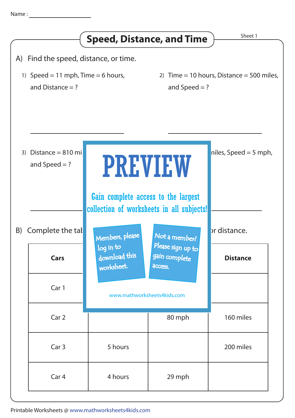